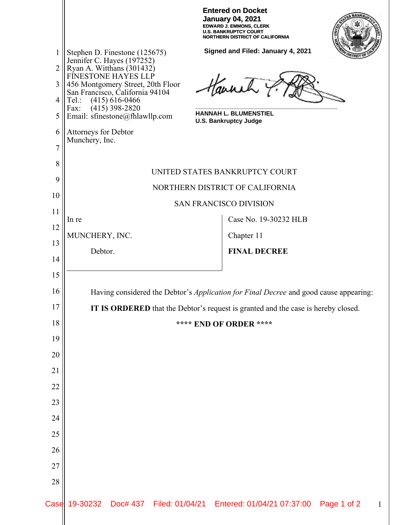| <b>Entered on Docket</b>        |
|---------------------------------|
| <b>January 04, 2021</b>         |
| <b>EDWARD J. EMMONS. CLERK</b>  |
| U.S. BANKRUPTCY COURT           |
| NORTHERN DISTRICT OF CALIFORNIA |
|                                 |



**Signed and Filed: January 4, 2021** 1 Stephen D. Finestone (125675) Jennifer C. Hayes (197252) 2 Ryan A. Witthans (301432) FINESTONE HAYES LLP Haunch 3 456 Montgomery Street, 20th Floor San Francisco, California 94104 4 Tel.: (415) 616-0466 Fax: (415) 398-2820 **\_\_\_\_\_\_\_\_\_\_\_\_\_\_\_\_\_\_\_\_\_\_\_\_\_\_\_\_\_\_\_\_\_\_\_\_\_\_\_\_\_\_ HANNAH L. BLUMENSTIEL** 5 Email: sfinestone@fhlawllp.com **U.S. Bankruptcy Judge** 6 Attorneys for Debtor Munchery, Inc. 7 8 UNITED STATES BANKRUPTCY COURT 9 NORTHERN DISTRICT OF CALIFORNIA 10 SAN FRANCISCO DIVISION 11 In re Case No. 19-30232 HLB 12 MUNCHERY, INC. Chapter 11 13 **FINAL DECREE** Debtor. 14 15 16 Having considered the Debtor's *Application for Final Decree* and good cause appearing: 17 **IT IS ORDERED** that the Debtor's request is granted and the case is hereby closed. 18 **\*\*\*\* END OF ORDER \*\*\*\*** 19 20 21 22 23 24 25 26 27 28